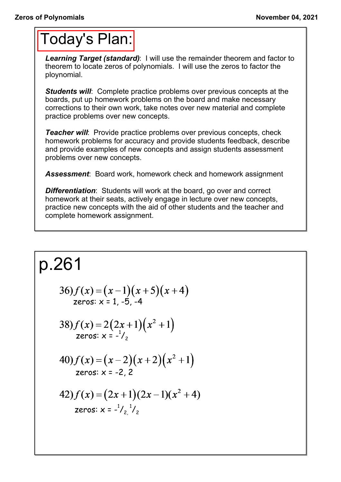## Today's Plan:

*Learning Target (standard)*: I will use the remainder theorem and factor to theorem to locate zeros of polynomials. I will use the zeros to factor the ploynomial.

**Students will:** Complete practice problems over previous concepts at the boards, put up homework problems on the board and make necessary corrections to their own work, take notes over new material and complete practice problems over new concepts.

*Teacher will:* Provide practice problems over previous concepts, check homework problems for accuracy and provide students feedback, describe and provide examples of new concepts and assign students assessment problems over new concepts.

*Assessment*: Board work, homework check and homework assignment

*Differentiation*: Students will work at the board, go over and correct homework at their seats, actively engage in lecture over new concepts, practice new concepts with the aid of other students and the teacher and complete homework assignment.

$$
p.261
$$
  
\n
$$
36) f(x) = (x-1)(x+5)(x+4)
$$
  
\n
$$
zeros: x = 1, -5, -4
$$
  
\n
$$
38) f(x) = 2(2x+1)(x^2+1)
$$
  
\n
$$
zeros: x = -\frac{1}{2}
$$
  
\n
$$
40) f(x) = (x-2)(x+2)(x^2+1)
$$
  
\n
$$
zeros: x = -2, 2
$$
  
\n
$$
42) f(x) = (2x+1)(2x-1)(x^2+4)
$$
  
\n
$$
zeros: x = -\frac{1}{2}, \frac{1}{2}
$$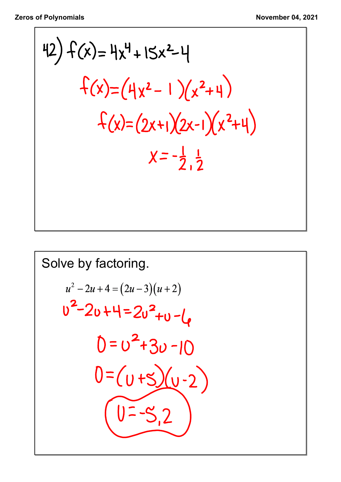42) 
$$
f(x) = 4x^4 + 15x^2-4
$$
  
\n
$$
f(x)=(4x^2-1)(x^2+4)
$$
\n
$$
f(x)=(2x+1)(2x-1)(x^2+4)
$$
\n
$$
x=-\frac{1}{2},\frac{1}{2}
$$

Solve by factoring.  
\n
$$
u^2 - 2u + 4 = (2u - 3)(u + 2)
$$
  
\n $u^2 - 2u + 4 = 2u^2 + u - l_e$   
\n $0 = u^2 + 3u - 10$   
\n $0 = (u + 5)(u - 2)$   
\n $u = -5, 2$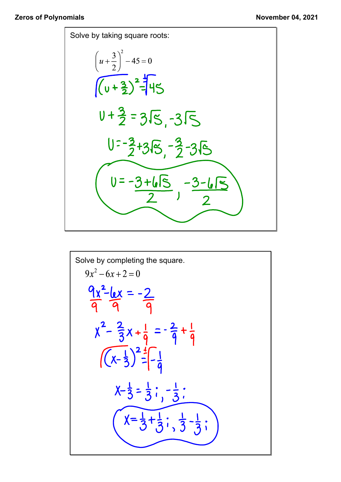

Solve by completing the square.  
\n
$$
9x^2 - 6x + 2 = 0
$$
\n
$$
\frac{9x^2 - 6x + 2 = 0}{9}
$$
\n
$$
\frac{9x^2 - 6x}{9} = -\frac{2}{9}
$$
\n
$$
x^2 - \frac{2}{3}x + \frac{1}{9} = -\frac{2}{9} + \frac{1}{9}
$$
\n
$$
\sqrt{x^2 - \frac{1}{3}} = \frac{1}{9} \cdot \frac{1}{9} - \frac{1}{9} \cdot \frac{1}{3}
$$
\n
$$
x - \frac{1}{3} = \frac{1}{3} \cdot \frac{1}{3} - \frac{1}{3} \cdot \frac{1}{3}
$$
\n
$$
x = \frac{1}{3} + \frac{1}{3} \cdot \frac{1}{3} - \frac{1}{3} \cdot \frac{1}{3}
$$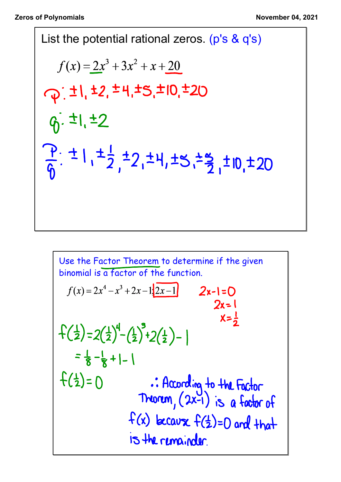List the potential rational zeros. (p's & q's)  
\n
$$
f(x) = 2x^3 + 3x^2 + x + 20
$$
  
\n $Q: \pm 1, \pm 2, \pm 4, \pm 5, \pm 10, \pm 20$   
\n $Q: \pm 1, \pm 2$   
\n $\frac{P}{6}: \pm 1, \pm \frac{1}{2}, \pm 2, \pm 4, \pm 5, \pm \frac{5}{2}, \pm 10, \pm 20$ 

Use the Factor Theorem to determine if the given  
\nbinomial is a factor of the function.  
\n
$$
f(x) = 2x^4 - x^3 + 2x - 1\frac{2x - 1}{2x - 1}
$$
 2x-1=0  
\n2x=1  
\n
$$
x = \frac{1}{2}
$$
\n
$$
x = \frac{1}{2}
$$
\n
$$
x = \frac{1}{2}
$$
\n
$$
x = \frac{1}{2}
$$
\n
$$
x = \frac{1}{2}
$$
\n
$$
x = \frac{1}{2}
$$
\n
$$
x = \frac{1}{2}
$$
\n
$$
x = \frac{1}{2}
$$
\n
$$
x = \frac{1}{2}
$$
\n
$$
x = \frac{1}{2}
$$
\n
$$
x = \frac{1}{2}
$$
\n
$$
x = \frac{1}{2}
$$
\n
$$
x = \frac{1}{2}
$$
\n
$$
x = \frac{1}{2}
$$
\n
$$
x = \frac{1}{2}
$$
\n
$$
x = \frac{1}{2}
$$
\n
$$
x = \frac{1}{2}
$$
\n
$$
x = \frac{1}{2}
$$
\n
$$
x = \frac{1}{2}
$$
\n
$$
x = \frac{1}{2}
$$
\n
$$
x = \frac{1}{2}
$$
\n
$$
x = \frac{1}{2}
$$
\n
$$
x = \frac{1}{2}
$$
\n
$$
x = \frac{1}{2}
$$
\n
$$
x = \frac{1}{2}
$$
\n
$$
x = \frac{1}{2}
$$
\n
$$
x = \frac{1}{2}
$$
\n
$$
x = \frac{1}{2}
$$
\n
$$
x = \frac{1}{2}
$$
\n
$$
x = \frac{1}{2}
$$
\n
$$
x = \frac{1}{2}
$$
\n
$$
x = \frac{1}{2}
$$
\n
$$
x = \frac{1}{2}
$$
\n
$$
x = \frac{1}{2}
$$
\n
$$
x = \frac{1}{2}
$$
\n
$$
x = \frac{1}{2}
$$
\n
$$
x = \frac{1}{2}
$$
\n
$$
x = \frac{1}{2}
$$
\n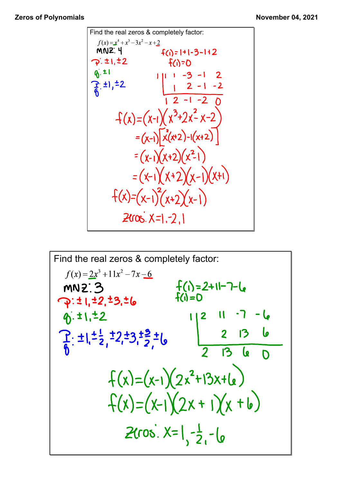

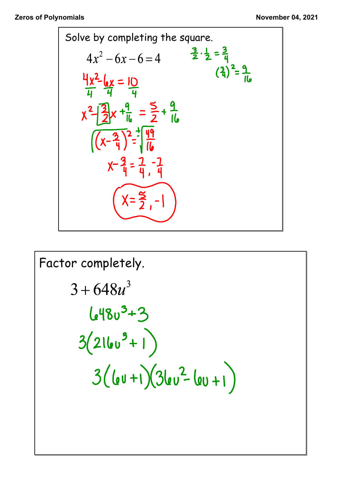

Factor completely.  
\n
$$
3 + 648u^3
$$
  
\n $648u^3 + 3$   
\n $3(216u^9 + 1)$   
\n $3(6u+1)(36u^2 - 6u + 1)$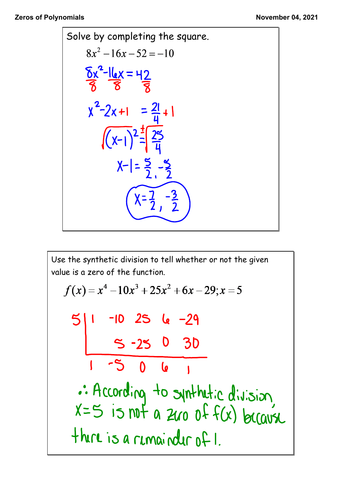

Use the synthetic division to tell whether or not the given value is a zero of the function.